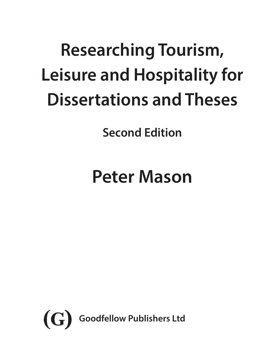# **Researching Tourism, Leisure and Hospitality for Dissertations and Theses**

**Second Edition**

# **Peter Mason**

<span id="page-0-0"></span>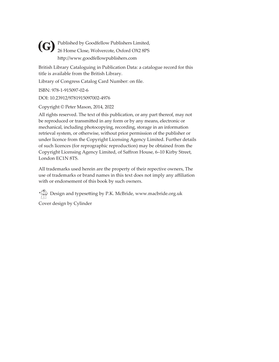<span id="page-1-0"></span>Published by Goodfellow Publishers Limited, **(G)** Published by Goodfellow Publishers Limited,<br>26 Home Close, Wolvercote, Oxford OX2 8PS http://www.goodfellowpublishers.com

British Library Cataloguing in Publication Data: a catalogue record for this title is available from the British Library.

Library of Congress Catalog Card Number: on file.

ISBN: 978-1-915097-02-6

DOI: 10.23912/9781915097002-4976

Copyright © Peter Mason, 2014, 2022

All rights reserved. The text of this publication, or any part thereof, may not be reproduced or transmitted in any form or by any means, electronic or mechanical, including photocopying, recording, storage in an information retrieval system, or otherwise, without prior permission of the publisher or under licence from the Copyright Licensing Agency Limited. Further details of such licences (for reprographic reproduction) may be obtained from the Copyright Licensing Agency Limited, of Saffron House, 6–10 Kirby Street, London EC1N 8TS.

All trademarks used herein are the property of their repective owners, The use of trademarks or brand names in this text does not imply any affiliation with or endorsement of this book by such owners.

Design and typesetting by P.K. McBride, www.macbride.org.uk

Cover design by Cylinder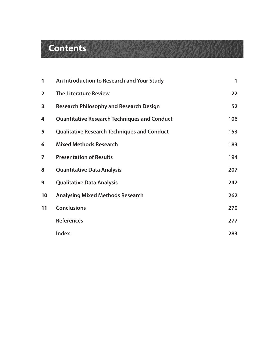## <span id="page-2-0"></span>**Contents**

| 1              | An Introduction to Research and Your Study          | 1   |
|----------------|-----------------------------------------------------|-----|
| $\overline{2}$ | <b>The Literature Review</b>                        | 22  |
| 3              | <b>Research Philosophy and Research Design</b>      | 52  |
| 4              | <b>Quantitative Research Techniques and Conduct</b> | 106 |
| 5              | <b>Qualitative Research Techniques and Conduct</b>  | 153 |
| 6              | <b>Mixed Methods Research</b>                       | 183 |
| 7              | <b>Presentation of Results</b>                      | 194 |
| 8              | <b>Quantitative Data Analysis</b>                   | 207 |
| 9              | <b>Qualitative Data Analysis</b>                    | 242 |
| 10             | <b>Analysing Mixed Methods Research</b>             | 262 |
| 11             | <b>Conclusions</b>                                  | 270 |
|                | <b>References</b>                                   | 277 |
|                | <b>Index</b>                                        | 283 |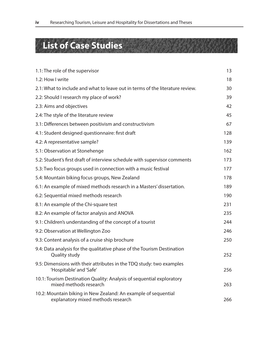### <span id="page-3-0"></span>**List of Case Studies**

| 1.1: The role of the supervisor                                                                      | 13  |
|------------------------------------------------------------------------------------------------------|-----|
| 1.2: How I write                                                                                     | 18  |
| 2.1: What to include and what to leave out in terms of the literature review.                        | 30  |
| 2.2: Should I research my place of work?                                                             | 39  |
| 2.3: Aims and objectives                                                                             | 42  |
| 2.4: The style of the literature review                                                              | 45  |
| 3.1: Differences between positivism and constructivism                                               | 67  |
| 4.1: Student designed questionnaire: first draft                                                     | 128 |
| 4.2: A representative sample?                                                                        | 139 |
| 5.1: Observation at Stonehenge                                                                       | 162 |
| 5.2: Student's first draft of interview schedule with supervisor comments                            | 173 |
| 5.3: Two focus groups used in connection with a music festival                                       | 177 |
| 5.4: Mountain biking focus groups, New Zealand                                                       | 178 |
| 6.1: An example of mixed methods research in a Masters' dissertation.                                | 189 |
| 6.2: Sequential mixed methods research                                                               | 190 |
| 8.1: An example of the Chi-square test                                                               | 231 |
| 8.2: An example of factor analysis and ANOVA                                                         | 235 |
| 9.1: Children's understanding of the concept of a tourist                                            | 244 |
| 9.2: Observation at Wellington Zoo                                                                   | 246 |
| 9.3: Content analysis of a cruise ship brochure                                                      | 250 |
| 9.4: Data analysis for the qualitative phase of the Tourism Destination<br>Quality study             | 252 |
| 9.5: Dimensions with their attributes in the TDQ study: two examples<br>'Hospitable' and 'Safe'      | 256 |
| 10.1: Tourism Destination Quality: Analysis of sequential exploratory<br>mixed methods research      | 263 |
| 10.2: Mountain biking in New Zealand: An example of sequential<br>explanatory mixed methods research | 266 |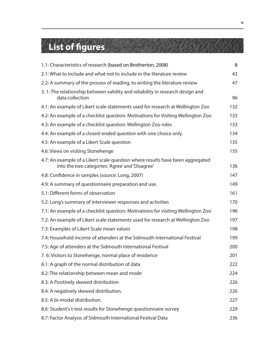## <span id="page-4-0"></span>**List of figures**

| 1.1: Characteristics of research (based on Brotherton, 2008)                                                                     | 8   |
|----------------------------------------------------------------------------------------------------------------------------------|-----|
| 2.1: What to include and what not to include in the literature review                                                            | 43  |
| 2.2: A summary of the process of reading, to writing the literature review                                                       | 47  |
| 3. 1: The relationship between validity and reliability in research design and<br>data collection                                | 96  |
| 4.1: An example of Likert scale statements used for research at Wellington Zoo                                                   | 132 |
| 4.2: An example of a checklist question: Motivations for Visiting Wellington Zoo                                                 | 133 |
| 4.3: An example of a checklist question: Wellington Zoo roles                                                                    | 133 |
| 4.4: An example of a closed-ended question with one choice only.                                                                 | 134 |
| 4.5: An example of a Likert Scale question                                                                                       | 135 |
| 4.6: Views on visiting Stonehenge                                                                                                | 135 |
| 4.7: An example of a Likert scale question where results have been aggregated<br>into the two categories: 'Agree' and 'Disagree' | 136 |
| 4.8: Confidence in samples (source: Long, 2007)                                                                                  | 147 |
| 4.9: A summary of questionnaire preparation and use.                                                                             | 149 |
| 5.1: Different forms of observation                                                                                              | 161 |
| 5.2: Long's summary of interviewer responses and activities                                                                      | 170 |
| 7.1: An example of a checklist question: Motivations for visiting Wellington Zoo                                                 | 196 |
| 7.2: An example of Likert scale statements used for research at Wellington Zoo                                                   | 197 |
| 7.3: Examples of Likert Scale mean values                                                                                        | 198 |
| 7.4: Household income of attenders at the Sidmouth International Festival                                                        | 199 |
| 7.5: Age of attenders at the Sidmouth International Festival                                                                     | 200 |
| 7.6: Visitors to Stonehenge, normal place of residence                                                                           | 201 |
| 8.1: A graph of the normal distribution of data                                                                                  | 222 |
| 8.2: The relationship between mean and mode                                                                                      | 224 |
| 8.3: A Positively skewed distribution                                                                                            | 226 |
| 8.4: A negatively skewed distribution.                                                                                           | 226 |
| 8.5: A bi-modal distribution.                                                                                                    | 227 |
| 8.6: Student's t-test results for Stonehenge questionnaire survey                                                                | 229 |
| 8.7: Factor Analysis of Sidmouth International Festival Data                                                                     | 236 |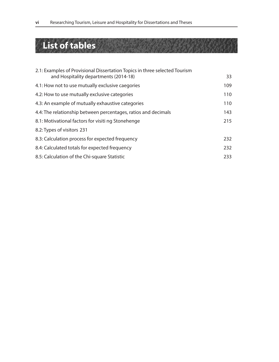### <span id="page-5-0"></span>**List of tables**

| 2.1: Examples of Provisional Dissertation Topics in three selected Tourism |     |
|----------------------------------------------------------------------------|-----|
| and Hospitality departments (2014-18)                                      | 33  |
| 4.1: How not to use mutually exclusive caegories                           | 109 |
| 4.2: How to use mutually exclusive categories                              | 110 |
| 4.3: An example of mutually exhaustive categories                          | 110 |
| 4.4: The relationship between percentages, ratios and decimals             | 143 |
| 8.1: Motivational factors for visiti ng Stonehenge                         | 215 |
| 8.2: Types of visitors 231                                                 |     |
| 8.3: Calculation process for expected frequency                            | 232 |
| 8.4: Calculated totals for expected frequency                              | 232 |
| 8.5: Calculation of the Chi-square Statistic                               | 233 |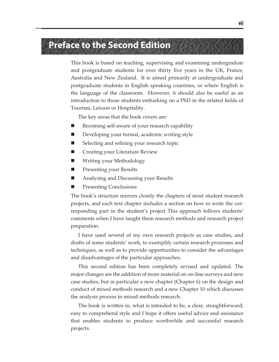#### <span id="page-6-0"></span>**Preface to the Second Edition**

This book is based on teaching, supervising and examining undergradute and postgraduate students for over thirty five years in the UK, France, Australia and New Zealand. It is aimed primarily at undergraduate and postgraduate students in English speaking countries, or where English is the language of the classroom. However, it should also be useful as an introduction to those students embarking on a PhD in the related fields of Tourism, Leisure or Hospitality.

The key areas that the book covers are:

- Becoming self-aware of your research capability
- Developing your formal, academic writing style
- Selecting and refining your research topic
- Creating your Literature Review
- Writing your Methodology
- **Presenting your Results**
- Analysing and Discussing your Results
- Presenting Conclusions

The book's structure mirrors closely the chapters of most student research projects, and each text chapter includes a section on how to write the corresponding part in the student's project This approach follows students' comments when I have taught them research methods and research project preparation.

I have used several of my own research projects as case studies, and drafts of some students' work, to exemplify certain research processes and techniques, as well as to provide opportunities to consider the advantages and disadvantages of the particular approaches.

This second edition has been completely revised and updated. The major changes are the addition of more material on on-line surveys and new case studies, but in particular a new chapter (Chapter 6) on the design and conduct of mixed methods research and a new Chapter 10 which discusses the analysis process in mixed methods research.

The book is written in, what is intended to be, a clear, straightforward, easy to comprehend style and I hope it offers useful advice and assistance that enables students to produce worthwhile and successful research projects.